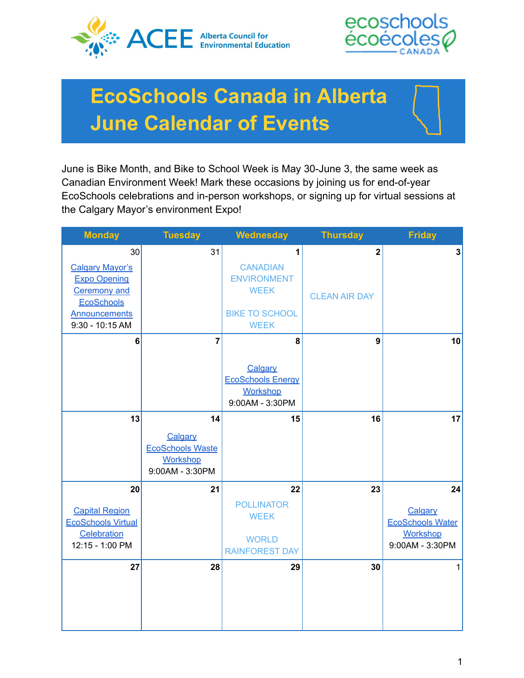



# **EcoSchools Canada in Alberta June Calendar of Events**

June is Bike Month, and Bike to School Week is May 30-June 3, the same week as Canadian Environment Week! Mark these occasions by joining us for end-of-year EcoSchools celebrations and in-person workshops, or signing up for virtual sessions at the Calgary Mayor's environment Expo!

| <b>Monday</b>                                                                                                                              | <b>Tuesday</b>                                                                 | <b>Wednesday</b>                                                                                  | <b>Thursday</b>                                 | <b>Friday</b>                                                                  |
|--------------------------------------------------------------------------------------------------------------------------------------------|--------------------------------------------------------------------------------|---------------------------------------------------------------------------------------------------|-------------------------------------------------|--------------------------------------------------------------------------------|
| 30<br><b>Calgary Mayor's</b><br><b>Expo Opening</b><br><b>Ceremony and</b><br><b>EcoSchools</b><br><b>Announcements</b><br>9:30 - 10:15 AM | 31                                                                             | 1<br><b>CANADIAN</b><br><b>ENVIRONMENT</b><br><b>WEEK</b><br><b>BIKE TO SCHOOL</b><br><b>WEEK</b> | $\overline{\mathbf{2}}$<br><b>CLEAN AIR DAY</b> | $\overline{\mathbf{3}}$                                                        |
| 6                                                                                                                                          | $\overline{7}$                                                                 | 8<br>Calgary<br><b>EcoSchools Energy</b><br><b>Workshop</b><br>9:00AM - 3:30PM                    | 9                                               | 10                                                                             |
| 13                                                                                                                                         | 14<br>Calgary<br><b>EcoSchools Waste</b><br><b>Workshop</b><br>9:00AM - 3:30PM | 15                                                                                                | 16                                              | 17                                                                             |
| 20<br><b>Capital Region</b><br><b>EcoSchools Virtual</b><br>Celebration<br>12:15 - 1:00 PM                                                 | 21                                                                             | 22<br><b>POLLINATOR</b><br><b>WEEK</b><br><b>WORLD</b><br><b>RAINFOREST DAY</b>                   | 23                                              | 24<br>Calgary<br><b>EcoSchools Water</b><br><b>Workshop</b><br>9:00AM - 3:30PM |
| 27                                                                                                                                         | 28                                                                             | 29                                                                                                | 30                                              | 1                                                                              |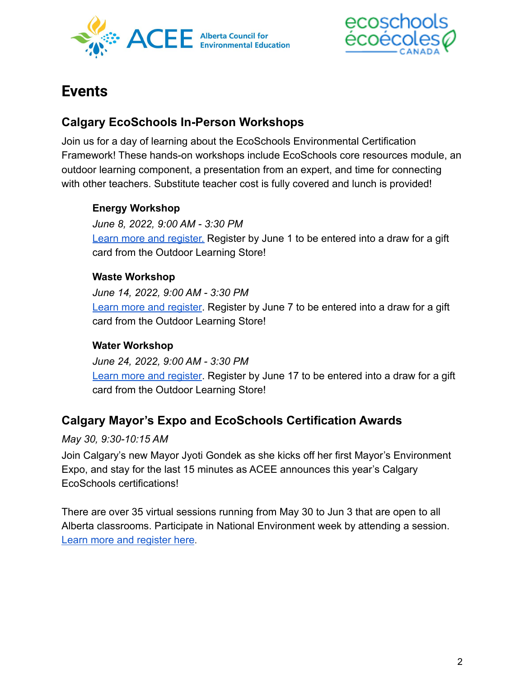



# **Events**

## <span id="page-1-1"></span>**Calgary EcoSchools In-Person Workshops**

Join us for a day of learning about the EcoSchools Environmental Certification Framework! These hands-on workshops include EcoSchools core resources module, an outdoor learning component, a presentation from an expert, and time for connecting with other teachers. Substitute teacher cost is fully covered and lunch is provided!

#### **Energy Workshop**

*June 8, 2022, 9:00 AM - 3:30 PM* [Learn more and register.](https://www.abcee.org/calgary-ecoschools-teacher-workshop-900-am-330-pm-june-8-2022) Register by June 1 to be entered into a draw for a gift card from the Outdoor Learning Store!

#### **Waste Workshop**

*June 14, 2022, 9:00 AM - 3:30 PM* [Learn more and register](https://www.abcee.org/calgary-ecoschools-waste-workshop-900-am-330-pm-june-14-2022). Register by June 7 to be entered into a draw for a gift card from the Outdoor Learning Store!

#### **Water Workshop**

*June 24, 2022, 9:00 AM - 3:30 PM* [Learn more and register](https://www.abcee.org/calgary-ecoschools-water-workshop-900-am-330-pm-june-24-2022). Register by June 17 to be entered into a draw for a gift card from the Outdoor Learning Store!

## <span id="page-1-0"></span>**Calgary Mayor's Expo and EcoSchools Certification Awards**

#### *May 30, 9:30-10:15 AM*

Join Calgary's new Mayor Jyoti Gondek as she kicks off her first Mayor's Environment Expo, and stay for the last 15 minutes as ACEE announces this year's Calgary EcoSchools certifications!

There are over 35 virtual sessions running from May 30 to Jun 3 that are open to all Alberta classrooms. Participate in National Environment week by attending a session. [Learn more and register here](https://www.calgary.ca/uep/esm/mayors-environment-expo/mayors-environment-expo-2022.html).